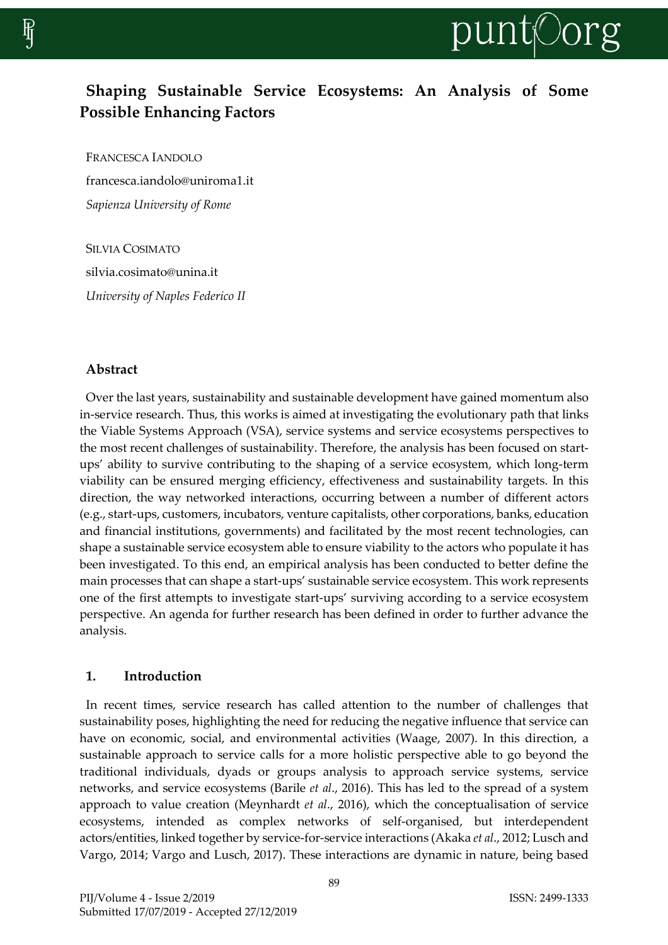

# **Shaping Sustainable Service Ecosystems: An Analysis of Some Possible Enhancing Factors**

FRANCESCA IANDOLO francesca.iandolo@uniroma1.it *Sapienza University of Rome*

SILVIA COSIMATO silvia.cosimato@unina.it *University of Naples Federico II*

#### **Abstract**

Over the last years, sustainability and sustainable development have gained momentum also in-service research. Thus, this works is aimed at investigating the evolutionary path that links the Viable Systems Approach (VSA), service systems and service ecosystems perspectives to the most recent challenges of sustainability. Therefore, the analysis has been focused on startups' ability to survive contributing to the shaping of a service ecosystem, which long-term viability can be ensured merging efficiency, effectiveness and sustainability targets. In this direction, the way networked interactions, occurring between a number of different actors (e.g., start-ups, customers, incubators, venture capitalists, other corporations, banks, education and financial institutions, governments) and facilitated by the most recent technologies, can shape a sustainable service ecosystem able to ensure viability to the actors who populate it has been investigated. To this end, an empirical analysis has been conducted to better define the main processes that can shape a start-ups' sustainable service ecosystem. This work represents one of the first attempts to investigate start-ups' surviving according to a service ecosystem perspective. An agenda for further research has been defined in order to further advance the analysis.

#### **1. Introduction**

In recent times, service research has called attention to the number of challenges that sustainability poses, highlighting the need for reducing the negative influence that service can have on economic, social, and environmental activities (Waage, 2007). In this direction, a sustainable approach to service calls for a more holistic perspective able to go beyond the traditional individuals, dyads or groups analysis to approach service systems, service networks, and service ecosystems (Barile *et al*., 2016). This has led to the spread of a system approach to value creation (Meynhardt *et al*., 2016), which the conceptualisation of service ecosystems, intended as complex networks of self-organised, but interdependent actors/entities, linked together by service-for-service interactions (Akaka *et al*., 2012; Lusch and Vargo, 2014; Vargo and Lusch, 2017). These interactions are dynamic in nature, being based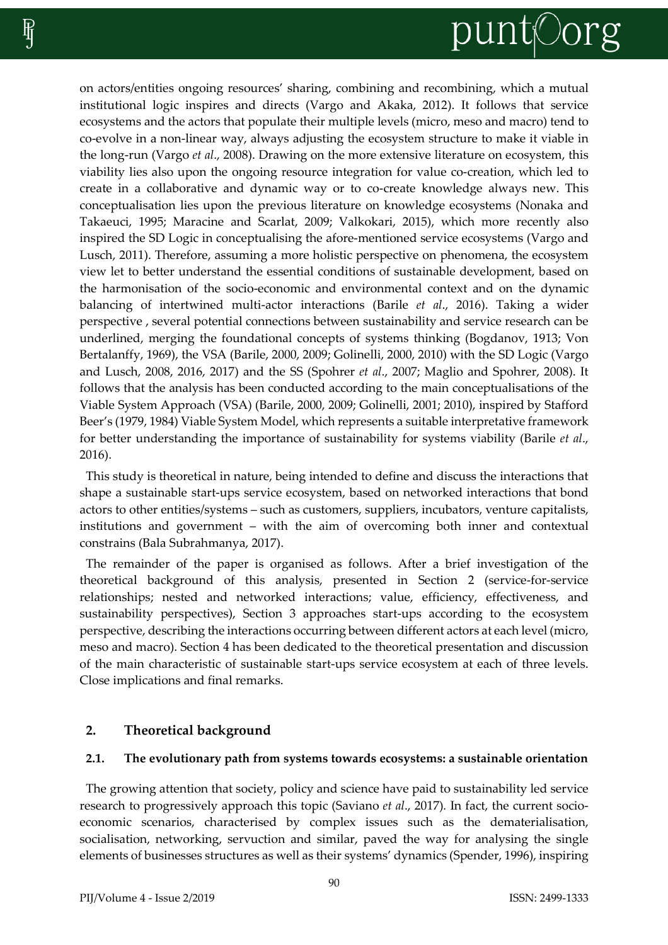# punt©org

on actors/entities ongoing resources' sharing, combining and recombining, which a mutual institutional logic inspires and directs (Vargo and Akaka, 2012). It follows that service ecosystems and the actors that populate their multiple levels (micro, meso and macro) tend to co-evolve in a non-linear way, always adjusting the ecosystem structure to make it viable in the long-run (Vargo *et al*., 2008). Drawing on the more extensive literature on ecosystem, this viability lies also upon the ongoing resource integration for value co-creation, which led to create in a collaborative and dynamic way or to co-create knowledge always new. This conceptualisation lies upon the previous literature on knowledge ecosystems (Nonaka and Takaeuci, 1995; Maracine and Scarlat, 2009; Valkokari, 2015), which more recently also inspired the SD Logic in conceptualising the afore-mentioned service ecosystems (Vargo and Lusch, 2011). Therefore, assuming a more holistic perspective on phenomena, the ecosystem view let to better understand the essential conditions of sustainable development, based on the harmonisation of the socio-economic and environmental context and on the dynamic balancing of intertwined multi-actor interactions (Barile *et al*., 2016). Taking a wider perspective , several potential connections between sustainability and service research can be underlined, merging the foundational concepts of systems thinking (Bogdanov, 1913; Von Bertalanffy, 1969), the VSA (Barile, 2000, 2009; Golinelli, 2000, 2010) with the SD Logic (Vargo and Lusch, 2008, 2016, 2017) and the SS (Spohrer *et al*., 2007; Maglio and Spohrer, 2008). It follows that the analysis has been conducted according to the main conceptualisations of the Viable System Approach (VSA) (Barile, 2000, 2009; Golinelli, 2001; 2010), inspired by Stafford Beer's (1979, 1984) Viable System Model, which represents a suitable interpretative framework for better understanding the importance of sustainability for systems viability (Barile *et al*., 2016).

This study is theoretical in nature, being intended to define and discuss the interactions that shape a sustainable start-ups service ecosystem, based on networked interactions that bond actors to other entities/systems – such as customers, suppliers, incubators, venture capitalists, institutions and government – with the aim of overcoming both inner and contextual constrains (Bala Subrahmanya, 2017).

The remainder of the paper is organised as follows. After a brief investigation of the theoretical background of this analysis, presented in Section 2 (service-for-service relationships; nested and networked interactions; value, efficiency, effectiveness, and sustainability perspectives), Section 3 approaches start-ups according to the ecosystem perspective, describing the interactions occurring between different actors at each level (micro, meso and macro). Section 4 has been dedicated to the theoretical presentation and discussion of the main characteristic of sustainable start-ups service ecosystem at each of three levels. Close implications and final remarks.

# **2. Theoretical background**

# **2.1. The evolutionary path from systems towards ecosystems: a sustainable orientation**

The growing attention that society, policy and science have paid to sustainability led service research to progressively approach this topic (Saviano *et al*., 2017)*.* In fact, the current socioeconomic scenarios, characterised by complex issues such as the dematerialisation, socialisation, networking, servuction and similar, paved the way for analysing the single elements of businesses structures as well as their systems' dynamics (Spender, 1996), inspiring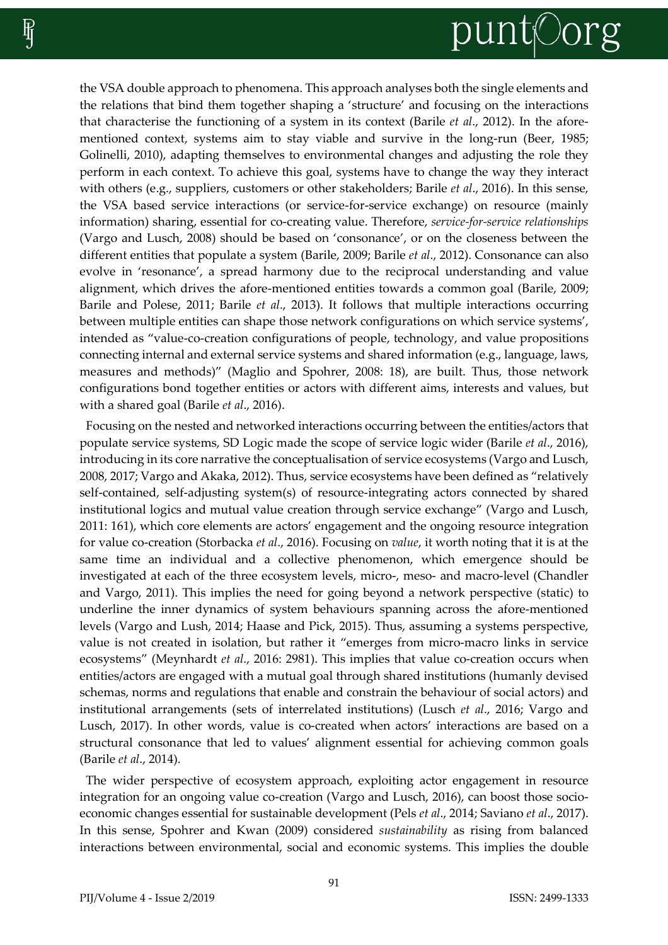# punt©org

the VSA double approach to phenomena. This approach analyses both the single elements and the relations that bind them together shaping a 'structure' and focusing on the interactions that characterise the functioning of a system in its context (Barile *et al*., 2012). In the aforementioned context, systems aim to stay viable and survive in the long-run (Beer, 1985; Golinelli, 2010), adapting themselves to environmental changes and adjusting the role they perform in each context. To achieve this goal, systems have to change the way they interact with others (e.g., suppliers, customers or other stakeholders; Barile *et al*., 2016). In this sense, the VSA based service interactions (or service-for-service exchange) on resource (mainly information) sharing, essential for co-creating value. Therefore, *service-for-service relationships* (Vargo and Lusch, 2008) should be based on 'consonance', or on the closeness between the different entities that populate a system (Barile, 2009; Barile *et al*., 2012). Consonance can also evolve in 'resonance', a spread harmony due to the reciprocal understanding and value alignment, which drives the afore-mentioned entities towards a common goal (Barile, 2009; Barile and Polese, 2011; Barile *et al*., 2013). It follows that multiple interactions occurring between multiple entities can shape those network configurations on which service systems', intended as "value-co-creation configurations of people, technology, and value propositions connecting internal and external service systems and shared information (e.g., language, laws, measures and methods)" (Maglio and Spohrer, 2008: 18), are built. Thus, those network configurations bond together entities or actors with different aims, interests and values, but with a shared goal (Barile *et al*., 2016).

Focusing on the nested and networked interactions occurring between the entities/actors that populate service systems, SD Logic made the scope of service logic wider (Barile *et al*., 2016), introducing in its core narrative the conceptualisation of service ecosystems (Vargo and Lusch, 2008, 2017; Vargo and Akaka, 2012). Thus, service ecosystems have been defined as "relatively self-contained, self-adjusting system(s) of resource-integrating actors connected by shared institutional logics and mutual value creation through service exchange" (Vargo and Lusch, 2011: 161), which core elements are actors' engagement and the ongoing resource integration for value co-creation (Storbacka *et al*., 2016). Focusing on *value*, it worth noting that it is at the same time an individual and a collective phenomenon, which emergence should be investigated at each of the three ecosystem levels, micro-, meso- and macro-level (Chandler and Vargo, 2011). This implies the need for going beyond a network perspective (static) to underline the inner dynamics of system behaviours spanning across the afore-mentioned levels (Vargo and Lush, 2014; Haase and Pick, 2015). Thus, assuming a systems perspective, value is not created in isolation, but rather it "emerges from micro-macro links in service ecosystems" (Meynhardt *et al*., 2016: 2981). This implies that value co-creation occurs when entities/actors are engaged with a mutual goal through shared institutions (humanly devised schemas, norms and regulations that enable and constrain the behaviour of social actors) and institutional arrangements (sets of interrelated institutions) (Lusch *et al*., 2016; Vargo and Lusch, 2017). In other words, value is co-created when actors' interactions are based on a structural consonance that led to values' alignment essential for achieving common goals (Barile *et al*., 2014).

The wider perspective of ecosystem approach, exploiting actor engagement in resource integration for an ongoing value co-creation (Vargo and Lusch, 2016), can boost those socioeconomic changes essential for sustainable development (Pels *et al*., 2014; Saviano *et al*., 2017). In this sense, Spohrer and Kwan (2009) considered *sustainability* as rising from balanced interactions between environmental, social and economic systems. This implies the double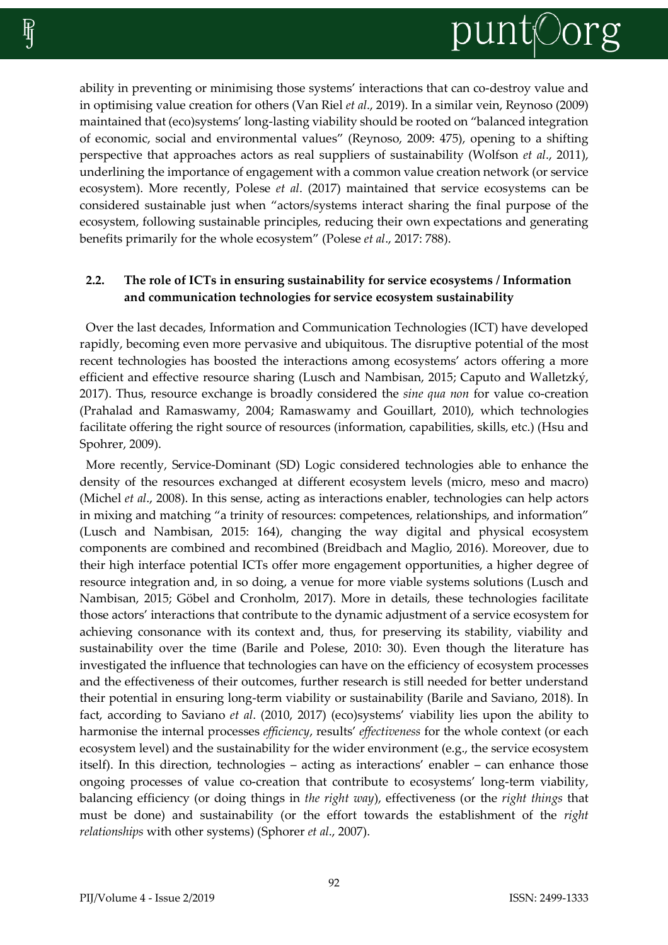

ability in preventing or minimising those systems' interactions that can co-destroy value and in optimising value creation for others (Van Riel *et al*., 2019). In a similar vein, Reynoso (2009) maintained that (eco)systems' long-lasting viability should be rooted on "balanced integration of economic, social and environmental values" (Reynoso, 2009: 475), opening to a shifting perspective that approaches actors as real suppliers of sustainability (Wolfson *et al*., 2011), underlining the importance of engagement with a common value creation network (or service ecosystem). More recently, Polese *et al*. (2017) maintained that service ecosystems can be considered sustainable just when "actors/systems interact sharing the final purpose of the ecosystem, following sustainable principles, reducing their own expectations and generating benefits primarily for the whole ecosystem" (Polese *et al*., 2017: 788).

# **2.2. The role of ICTs in ensuring sustainability for service ecosystems / Information and communication technologies for service ecosystem sustainability**

Over the last decades, Information and Communication Technologies (ICT) have developed rapidly, becoming even more pervasive and ubiquitous. The disruptive potential of the most recent technologies has boosted the interactions among ecosystems' actors offering a more efficient and effective resource sharing (Lusch and Nambisan, 2015; Caputo and Walletzký, 2017). Thus, resource exchange is broadly considered the *sine qua non* for value co-creation (Prahalad and Ramaswamy, 2004; Ramaswamy and Gouillart, 2010), which technologies facilitate offering the right source of resources (information, capabilities, skills, etc.) (Hsu and Spohrer, 2009).

More recently, Service-Dominant (SD) Logic considered technologies able to enhance the density of the resources exchanged at different ecosystem levels (micro, meso and macro) (Michel *et al*., 2008). In this sense, acting as interactions enabler, technologies can help actors in mixing and matching "a trinity of resources: competences, relationships, and information" (Lusch and Nambisan, 2015: 164), changing the way digital and physical ecosystem components are combined and recombined (Breidbach and Maglio, 2016). Moreover, due to their high interface potential ICTs offer more engagement opportunities, a higher degree of resource integration and, in so doing, a venue for more viable systems solutions (Lusch and Nambisan, 2015; Göbel and Cronholm, 2017). More in details, these technologies facilitate those actors' interactions that contribute to the dynamic adjustment of a service ecosystem for achieving consonance with its context and, thus, for preserving its stability, viability and sustainability over the time (Barile and Polese, 2010: 30). Even though the literature has investigated the influence that technologies can have on the efficiency of ecosystem processes and the effectiveness of their outcomes, further research is still needed for better understand their potential in ensuring long-term viability or sustainability (Barile and Saviano, 2018). In fact, according to Saviano *et al*. (2010, 2017) (eco)systems' viability lies upon the ability to harmonise the internal processes *efficiency*, results' *effectiveness* for the whole context (or each ecosystem level) and the sustainability for the wider environment (e.g., the service ecosystem itself). In this direction, technologies – acting as interactions' enabler – can enhance those ongoing processes of value co-creation that contribute to ecosystems' long-term viability, balancing efficiency (or doing things in *the right way*), effectiveness (or the *right things* that must be done) and sustainability (or the effort towards the establishment of the *right relationships* with other systems) (Sphorer *et al*., 2007).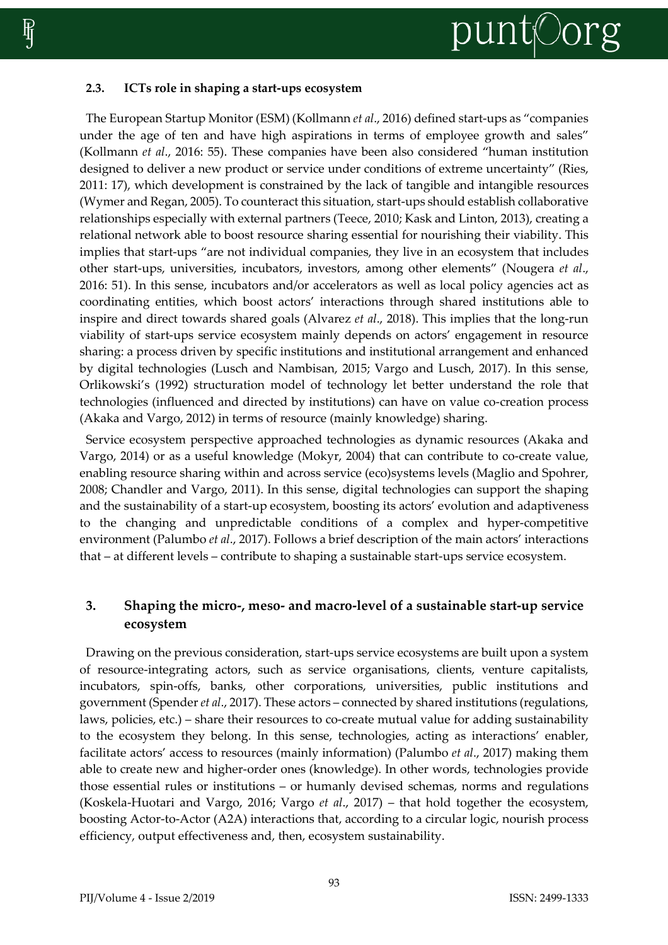

# **2.3. ICTs role in shaping a start-ups ecosystem**

The European Startup Monitor (ESM) (Kollmann *et al*., 2016) defined start-ups as "companies under the age of ten and have high aspirations in terms of employee growth and sales" (Kollmann *et al*., 2016: 55). These companies have been also considered "human institution designed to deliver a new product or service under conditions of extreme uncertainty" (Ries, 2011: 17), which development is constrained by the lack of tangible and intangible resources (Wymer and Regan, 2005). To counteract this situation, start-ups should establish collaborative relationships especially with external partners (Teece, 2010; Kask and Linton, 2013), creating a relational network able to boost resource sharing essential for nourishing their viability. This implies that start-ups "are not individual companies, they live in an ecosystem that includes other start-ups, universities, incubators, investors, among other elements" (Nougera *et al*., 2016: 51). In this sense, incubators and/or accelerators as well as local policy agencies act as coordinating entities, which boost actors' interactions through shared institutions able to inspire and direct towards shared goals (Alvarez *et al*., 2018). This implies that the long-run viability of start-ups service ecosystem mainly depends on actors' engagement in resource sharing: a process driven by specific institutions and institutional arrangement and enhanced by digital technologies (Lusch and Nambisan, 2015; Vargo and Lusch, 2017). In this sense, Orlikowski's (1992) structuration model of technology let better understand the role that technologies (influenced and directed by institutions) can have on value co-creation process (Akaka and Vargo, 2012) in terms of resource (mainly knowledge) sharing.

Service ecosystem perspective approached technologies as dynamic resources (Akaka and Vargo, 2014) or as a useful knowledge (Mokyr, 2004) that can contribute to co-create value, enabling resource sharing within and across service (eco)systems levels (Maglio and Spohrer, 2008; Chandler and Vargo, 2011). In this sense, digital technologies can support the shaping and the sustainability of a start-up ecosystem, boosting its actors' evolution and adaptiveness to the changing and unpredictable conditions of a complex and hyper-competitive environment (Palumbo *et al*., 2017). Follows a brief description of the main actors' interactions that – at different levels – contribute to shaping a sustainable start-ups service ecosystem.

# **3. Shaping the micro-, meso- and macro-level of a sustainable start-up service ecosystem**

Drawing on the previous consideration, start-ups service ecosystems are built upon a system of resource-integrating actors, such as service organisations, clients, venture capitalists, incubators, spin-offs, banks, other corporations, universities, public institutions and government (Spender *et al*., 2017). These actors – connected by shared institutions (regulations, laws, policies, etc.) – share their resources to co-create mutual value for adding sustainability to the ecosystem they belong. In this sense, technologies, acting as interactions' enabler, facilitate actors' access to resources (mainly information) (Palumbo *et al*., 2017) making them able to create new and higher-order ones (knowledge). In other words, technologies provide those essential rules or institutions – or humanly devised schemas, norms and regulations (Koskela-Huotari and Vargo, 2016; Vargo *et al*., 2017) – that hold together the ecosystem, boosting Actor-to-Actor (A2A) interactions that, according to a circular logic, nourish process efficiency, output effectiveness and, then, ecosystem sustainability.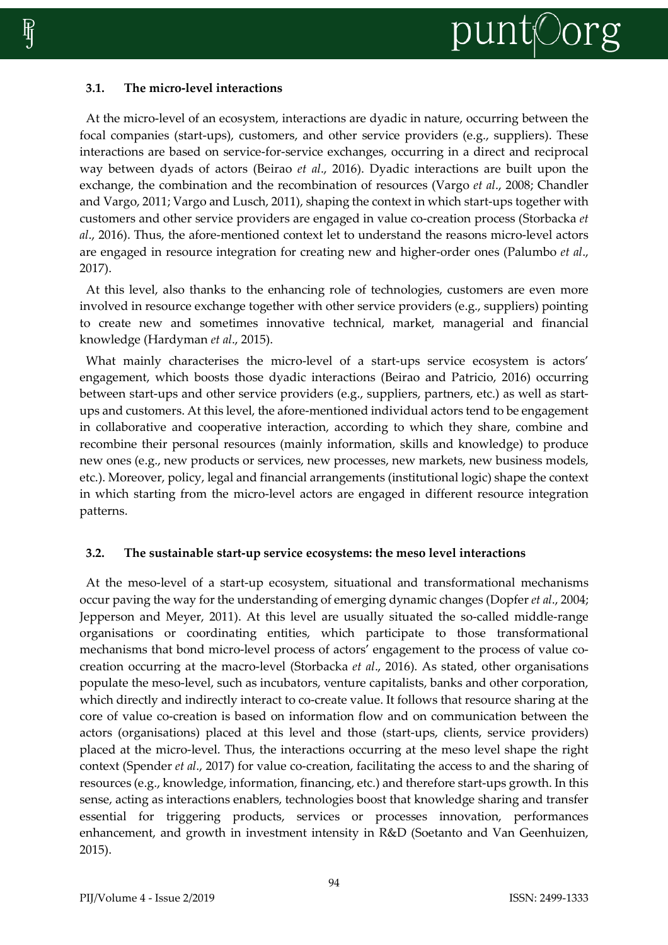### **3.1. The micro-level interactions**

At the micro-level of an ecosystem, interactions are dyadic in nature, occurring between the focal companies (start-ups), customers, and other service providers (e.g., suppliers). These interactions are based on service-for-service exchanges, occurring in a direct and reciprocal way between dyads of actors (Beirao *et al*., 2016). Dyadic interactions are built upon the exchange, the combination and the recombination of resources (Vargo *et al*., 2008; Chandler and Vargo, 2011; Vargo and Lusch, 2011), shaping the context in which start-ups together with customers and other service providers are engaged in value co-creation process (Storbacka *et al*., 2016). Thus, the afore-mentioned context let to understand the reasons micro-level actors are engaged in resource integration for creating new and higher-order ones (Palumbo *et al*., 2017).

At this level, also thanks to the enhancing role of technologies, customers are even more involved in resource exchange together with other service providers (e.g., suppliers) pointing to create new and sometimes innovative technical, market, managerial and financial knowledge (Hardyman *et al*., 2015).

What mainly characterises the micro-level of a start-ups service ecosystem is actors' engagement, which boosts those dyadic interactions (Beirao and Patricio, 2016) occurring between start-ups and other service providers (e.g., suppliers, partners, etc.) as well as startups and customers. At this level, the afore-mentioned individual actors tend to be engagement in collaborative and cooperative interaction, according to which they share, combine and recombine their personal resources (mainly information, skills and knowledge) to produce new ones (e.g., new products or services, new processes, new markets, new business models, etc.). Moreover, policy, legal and financial arrangements (institutional logic) shape the context in which starting from the micro-level actors are engaged in different resource integration patterns.

#### **3.2. The sustainable start-up service ecosystems: the meso level interactions**

At the meso-level of a start-up ecosystem, situational and transformational mechanisms occur paving the way for the understanding of emerging dynamic changes (Dopfer *et al*., 2004; Jepperson and Meyer, 2011). At this level are usually situated the so-called middle-range organisations or coordinating entities, which participate to those transformational mechanisms that bond micro-level process of actors' engagement to the process of value cocreation occurring at the macro-level (Storbacka *et al*., 2016). As stated, other organisations populate the meso-level, such as incubators, venture capitalists, banks and other corporation, which directly and indirectly interact to co-create value. It follows that resource sharing at the core of value co-creation is based on information flow and on communication between the actors (organisations) placed at this level and those (start-ups, clients, service providers) placed at the micro-level. Thus, the interactions occurring at the meso level shape the right context (Spender *et al*., 2017) for value co-creation, facilitating the access to and the sharing of resources (e.g., knowledge, information, financing, etc.) and therefore start-ups growth. In this sense, acting as interactions enablers, technologies boost that knowledge sharing and transfer essential for triggering products, services or processes innovation, performances enhancement, and growth in investment intensity in R&D (Soetanto and Van Geenhuizen, 2015).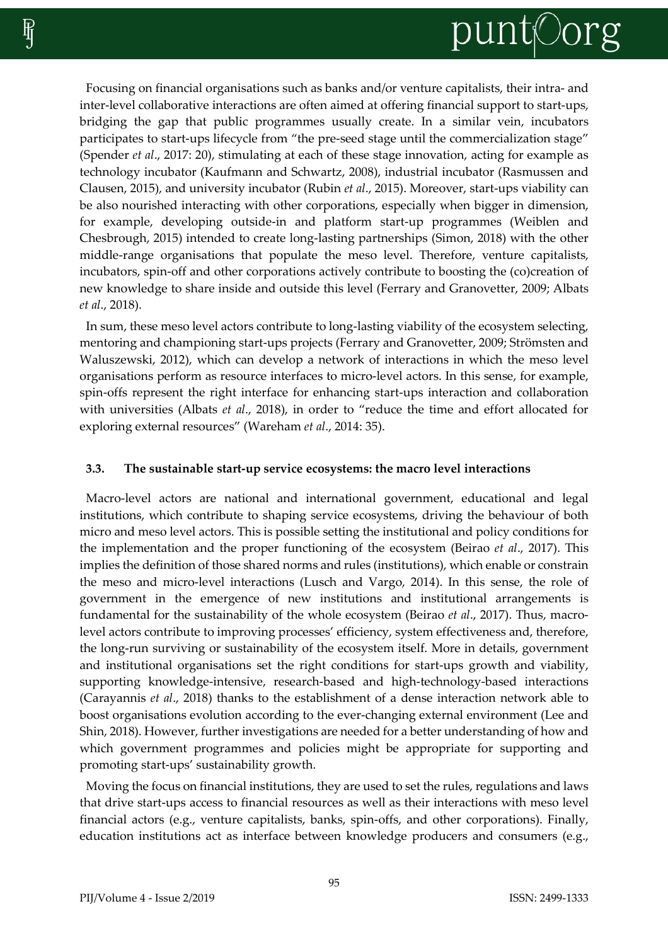

Focusing on financial organisations such as banks and/or venture capitalists, their intra- and inter-level collaborative interactions are often aimed at offering financial support to start-ups, bridging the gap that public programmes usually create. In a similar vein, incubators participates to start-ups lifecycle from "the pre-seed stage until the commercialization stage" (Spender *et al*., 2017: 20), stimulating at each of these stage innovation, acting for example as technology incubator (Kaufmann and Schwartz, 2008), industrial incubator (Rasmussen and Clausen, 2015), and university incubator (Rubin *et al*., 2015). Moreover, start-ups viability can be also nourished interacting with other corporations, especially when bigger in dimension, for example, developing outside-in and platform start-up programmes (Weiblen and Chesbrough, 2015) intended to create long-lasting partnerships (Simon, 2018) with the other middle-range organisations that populate the meso level. Therefore, venture capitalists, incubators, spin-off and other corporations actively contribute to boosting the (co)creation of new knowledge to share inside and outside this level (Ferrary and Granovetter, 2009; Albats *et al*., 2018).

In sum, these meso level actors contribute to long-lasting viability of the ecosystem selecting, mentoring and championing start-ups projects (Ferrary and Granovetter, 2009; Strömsten and Waluszewski, 2012), which can develop a network of interactions in which the meso level organisations perform as resource interfaces to micro-level actors. In this sense, for example, spin-offs represent the right interface for enhancing start-ups interaction and collaboration with universities (Albats *et al*., 2018), in order to "reduce the time and effort allocated for exploring external resources" (Wareham *et al*., 2014: 35).

#### **3.3. The sustainable start-up service ecosystems: the macro level interactions**

Macro-level actors are national and international government, educational and legal institutions, which contribute to shaping service ecosystems, driving the behaviour of both micro and meso level actors. This is possible setting the institutional and policy conditions for the implementation and the proper functioning of the ecosystem (Beirao *et al*., 2017). This implies the definition of those shared norms and rules (institutions), which enable or constrain the meso and micro-level interactions (Lusch and Vargo, 2014). In this sense, the role of government in the emergence of new institutions and institutional arrangements is fundamental for the sustainability of the whole ecosystem (Beirao *et al*., 2017). Thus, macrolevel actors contribute to improving processes' efficiency, system effectiveness and, therefore, the long-run surviving or sustainability of the ecosystem itself. More in details, government and institutional organisations set the right conditions for start-ups growth and viability, supporting knowledge-intensive, research-based and high-technology-based interactions (Carayannis *et al*., 2018) thanks to the establishment of a dense interaction network able to boost organisations evolution according to the ever-changing external environment (Lee and Shin, 2018). However, further investigations are needed for a better understanding of how and which government programmes and policies might be appropriate for supporting and promoting start-ups' sustainability growth.

Moving the focus on financial institutions, they are used to set the rules, regulations and laws that drive start-ups access to financial resources as well as their interactions with meso level financial actors (e.g., venture capitalists, banks, spin-offs, and other corporations). Finally, education institutions act as interface between knowledge producers and consumers (e.g.,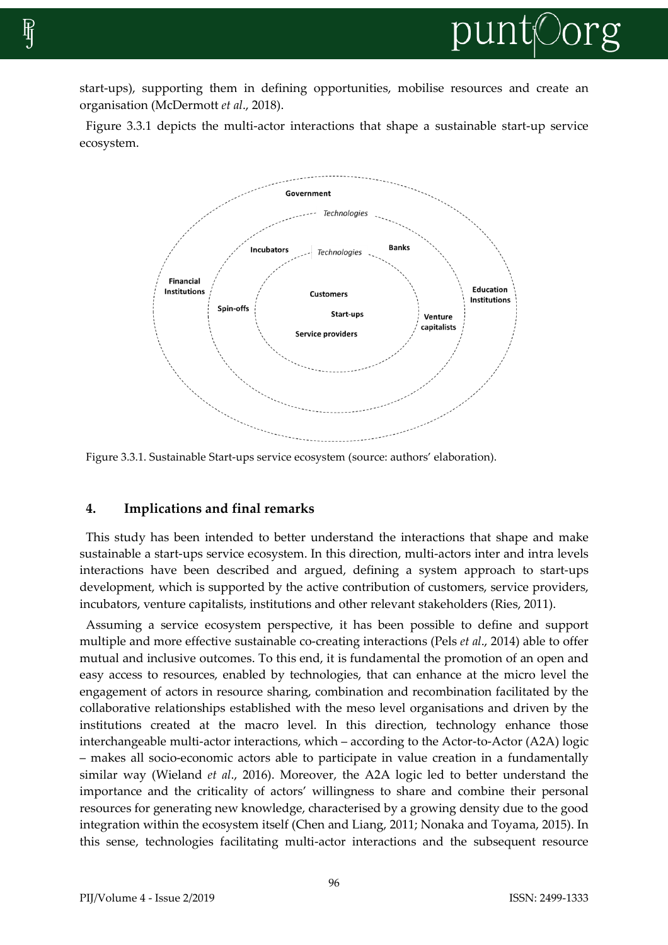

start-ups), supporting them in defining opportunities, mobilise resources and create an organisation (McDermott *et al*., 2018).

Figure 3.3.1 depicts the multi-actor interactions that shape a sustainable start-up service ecosystem.



Figure 3.3.1. Sustainable Start-ups service ecosystem (source: authors' elaboration).

# **4. Implications and final remarks**

This study has been intended to better understand the interactions that shape and make sustainable a start-ups service ecosystem. In this direction, multi-actors inter and intra levels interactions have been described and argued, defining a system approach to start-ups development, which is supported by the active contribution of customers, service providers, incubators, venture capitalists, institutions and other relevant stakeholders (Ries, 2011).

Assuming a service ecosystem perspective, it has been possible to define and support multiple and more effective sustainable co-creating interactions (Pels *et al*., 2014) able to offer mutual and inclusive outcomes. To this end, it is fundamental the promotion of an open and easy access to resources, enabled by technologies, that can enhance at the micro level the engagement of actors in resource sharing, combination and recombination facilitated by the collaborative relationships established with the meso level organisations and driven by the institutions created at the macro level. In this direction, technology enhance those interchangeable multi-actor interactions, which – according to the Actor-to-Actor (A2A) logic – makes all socio-economic actors able to participate in value creation in a fundamentally similar way (Wieland *et al*., 2016). Moreover, the A2A logic led to better understand the importance and the criticality of actors' willingness to share and combine their personal resources for generating new knowledge, characterised by a growing density due to the good integration within the ecosystem itself (Chen and Liang, 2011; Nonaka and Toyama, 2015). In this sense, technologies facilitating multi-actor interactions and the subsequent resource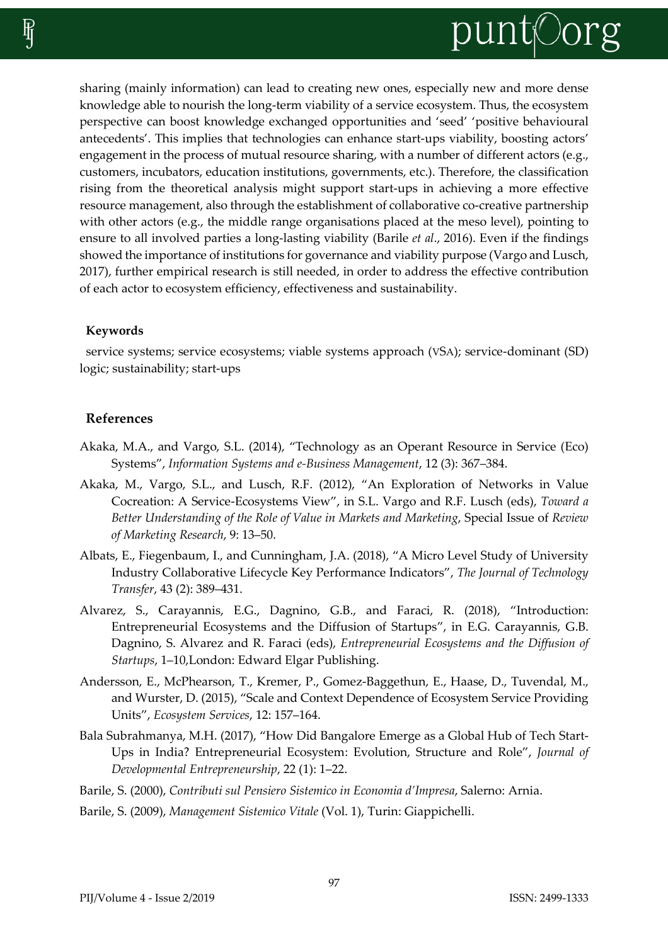

sharing (mainly information) can lead to creating new ones, especially new and more dense knowledge able to nourish the long-term viability of a service ecosystem. Thus, the ecosystem perspective can boost knowledge exchanged opportunities and 'seed' 'positive behavioural antecedents'. This implies that technologies can enhance start-ups viability, boosting actors' engagement in the process of mutual resource sharing, with a number of different actors (e.g., customers, incubators, education institutions, governments, etc.). Therefore, the classification rising from the theoretical analysis might support start-ups in achieving a more effective resource management, also through the establishment of collaborative co-creative partnership with other actors (e.g., the middle range organisations placed at the meso level), pointing to ensure to all involved parties a long-lasting viability (Barile *et al*., 2016). Even if the findings showed the importance of institutions for governance and viability purpose (Vargo and Lusch, 2017), further empirical research is still needed, in order to address the effective contribution of each actor to ecosystem efficiency, effectiveness and sustainability.

#### **Keywords**

service systems; service ecosystems; viable systems approach (VSA); service-dominant (SD) logic; sustainability; start-ups

#### **References**

- Akaka, M.A., and Vargo, S.L. (2014), "Technology as an Operant Resource in Service (Eco) Systems", *Information Systems and e-Business Management*, 12 (3): 367–384.
- Akaka, M., Vargo, S.L., and Lusch, R.F. (2012), "An Exploration of Networks in Value Cocreation: A Service-Ecosystems View", in S.L. Vargo and R.F. Lusch (eds), *Toward a Better Understanding of the Role of Value in Markets and Marketing*, Special Issue of *Review of Marketing Research*, 9: 13–50.
- Albats, E., Fiegenbaum, I., and Cunningham, J.A. (2018), "A Micro Level Study of University Industry Collaborative Lifecycle Key Performance Indicators", *The Journal of Technology Transfer*, 43 (2): 389–431.
- Alvarez, S., Carayannis, E.G., Dagnino, G.B., and Faraci, R. (2018), "Introduction: Entrepreneurial Ecosystems and the Diffusion of Startups", in E.G. Carayannis, G.B. Dagnino, S. Alvarez and R. Faraci (eds), *Entrepreneurial Ecosystems and the Diffusion of Startups*, 1–10,London: Edward Elgar Publishing.
- Andersson, E., McPhearson, T., Kremer, P., Gomez-Baggethun, E., Haase, D., Tuvendal, M., and Wurster, D. (2015), "Scale and Context Dependence of Ecosystem Service Providing Units", *Ecosystem Services*, 12: 157–164.
- Bala Subrahmanya, M.H. (2017), "How Did Bangalore Emerge as a Global Hub of Tech Start-Ups in India? Entrepreneurial Ecosystem: Evolution, Structure and Role", *Journal of Developmental Entrepreneurship*, 22 (1): 1–22.
- Barile, S. (2000), *Contributi sul Pensiero Sistemico in Economia d'Impresa*, Salerno: Arnia.
- Barile, S. (2009), *Management Sistemico Vitale* (Vol. 1), Turin: Giappichelli.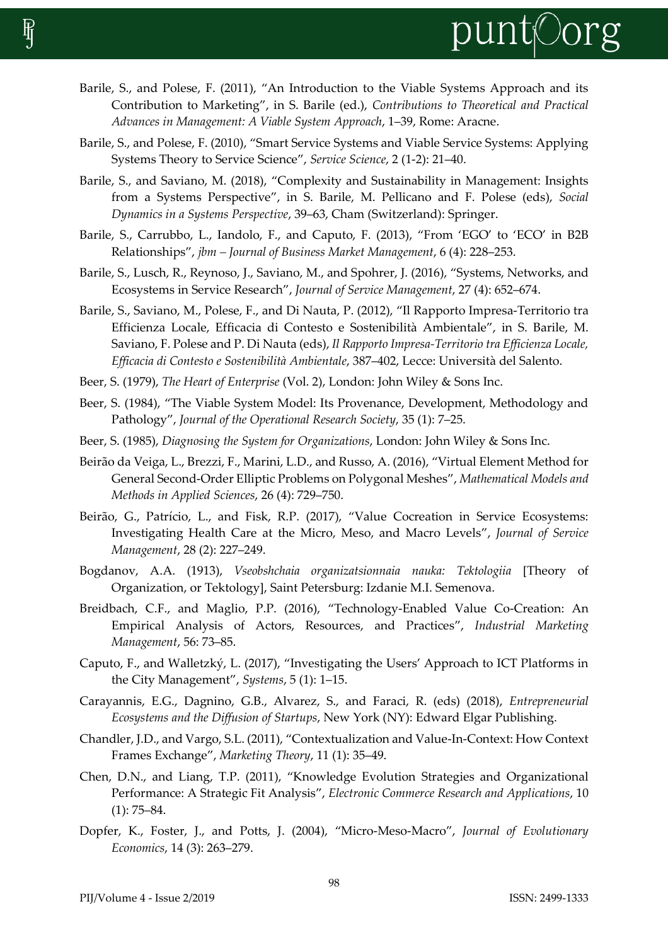

- Barile, S., and Polese, F. (2011), "An Introduction to the Viable Systems Approach and its Contribution to Marketing", in S. Barile (ed.), *Contributions to Theoretical and Practical Advances in Management: A Viable System Approach*, 1–39, Rome: Aracne.
- Barile, S., and Polese, F. (2010), "Smart Service Systems and Viable Service Systems: Applying Systems Theory to Service Science", *Service Science*, 2 (1-2): 21–40.
- Barile, S., and Saviano, M. (2018), "Complexity and Sustainability in Management: Insights from a Systems Perspective", in S. Barile, M. Pellicano and F. Polese (eds), *Social Dynamics in a Systems Perspective*, 39–63, Cham (Switzerland): Springer.
- Barile, S., Carrubbo, L., Iandolo, F., and Caputo, F. (2013), "From 'EGO' to 'ECO' in B2B Relationships", *jbm – Journal of Business Market Management*, 6 (4): 228–253.
- Barile, S., Lusch, R., Reynoso, J., Saviano, M., and Spohrer, J. (2016), "Systems, Networks, and Ecosystems in Service Research", *Journal of Service Management*, 27 (4): 652–674.
- Barile, S., Saviano, M., Polese, F., and Di Nauta, P. (2012), "Il Rapporto Impresa-Territorio tra Efficienza Locale, Efficacia di Contesto e Sostenibilità Ambientale", in S. Barile, M. Saviano, F. Polese and P. Di Nauta (eds), *Il Rapporto Impresa-Territorio tra Efficienza Locale, Efficacia di Contesto e Sostenibilità Ambientale*, 387–402, Lecce: Università del Salento.
- Beer, S. (1979), *The Heart of Enterprise* (Vol. 2), London: John Wiley & Sons Inc.
- Beer, S. (1984), "The Viable System Model: Its Provenance, Development, Methodology and Pathology", *Journal of the Operational Research Society*, 35 (1): 7–25.
- Beer, S. (1985), *Diagnosing the System for Organizations*, London: John Wiley & Sons Inc.
- Beirão da Veiga, L., Brezzi, F., Marini, L.D., and Russo, A. (2016), "Virtual Element Method for General Second-Order Elliptic Problems on Polygonal Meshes", *Mathematical Models and Methods in Applied Sciences*, 26 (4): 729–750.
- Beirão, G., Patrício, L., and Fisk, R.P. (2017), "Value Cocreation in Service Ecosystems: Investigating Health Care at the Micro, Meso, and Macro Levels", *Journal of Service Management*, 28 (2): 227–249.
- Bogdanov, A.A. (1913), *Vseobshchaia organizatsionnaia nauka: Tektologiia* [Theory of Organization, or Tektology], Saint Petersburg: Izdanie M.I. Semenova.
- Breidbach, C.F., and Maglio, P.P. (2016), "Technology-Enabled Value Co-Creation: An Empirical Analysis of Actors, Resources, and Practices", *Industrial Marketing Management*, 56: 73–85.
- Caputo, F., and Walletzký, L. (2017), "Investigating the Users' Approach to ICT Platforms in the City Management", *Systems*, 5 (1): 1–15.
- Carayannis, E.G., Dagnino, G.B., Alvarez, S., and Faraci, R. (eds) (2018), *Entrepreneurial Ecosystems and the Diffusion of Startups*, New York (NY): Edward Elgar Publishing.
- Chandler, J.D., and Vargo, S.L. (2011), "Contextualization and Value-In-Context: How Context Frames Exchange", *Marketing Theory*, 11 (1): 35–49.
- Chen, D.N., and Liang, T.P. (2011), "Knowledge Evolution Strategies and Organizational Performance: A Strategic Fit Analysis", *Electronic Commerce Research and Applications*, 10 (1): 75–84.
- Dopfer, K., Foster, J., and Potts, J. (2004), "Micro-Meso-Macro", *Journal of Evolutionary Economics*, 14 (3): 263–279.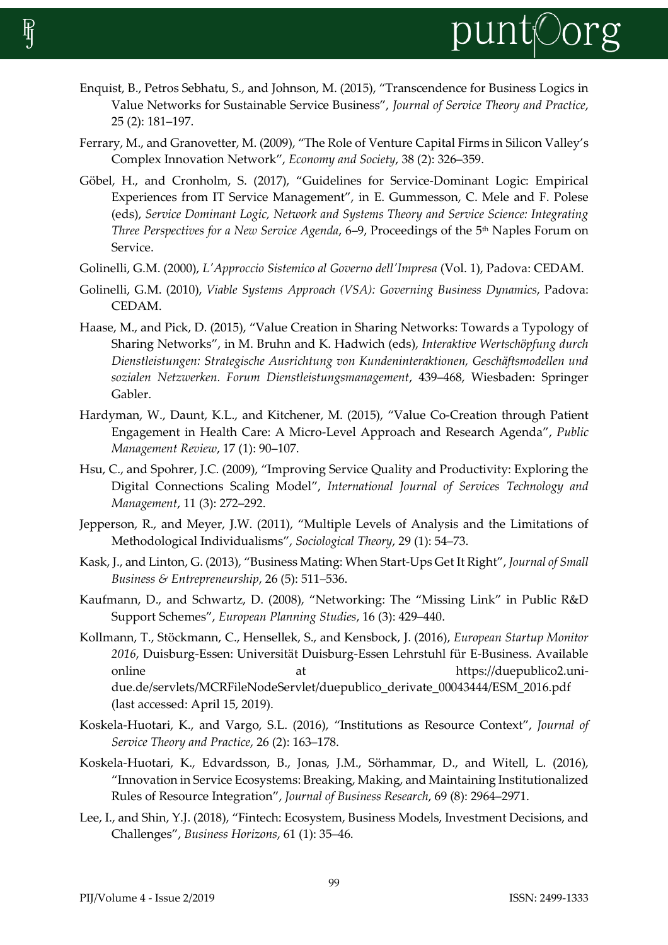

- Enquist, B., Petros Sebhatu, S., and Johnson, M. (2015), "Transcendence for Business Logics in Value Networks for Sustainable Service Business", *Journal of Service Theory and Practice*, 25 (2): 181–197.
- Ferrary, M., and Granovetter, M. (2009), "The Role of Venture Capital Firms in Silicon Valley's Complex Innovation Network", *Economy and Society*, 38 (2): 326–359.
- Göbel, H., and Cronholm, S. (2017), "Guidelines for Service-Dominant Logic: Empirical Experiences from IT Service Management", in E. Gummesson, C. Mele and F. Polese (eds), *Service Dominant Logic, Network and Systems Theory and Service Science: Integrating Three Perspectives for a New Service Agenda*, 6–9, Proceedings of the 5 th Naples Forum on Service.
- Golinelli, G.M. (2000), *L'Approccio Sistemico al Governo dell'Impresa* (Vol. 1), Padova: CEDAM.
- Golinelli, G.M. (2010), *Viable Systems Approach (VSA): Governing Business Dynamics*, Padova: CEDAM.
- Haase, M., and Pick, D. (2015), "Value Creation in Sharing Networks: Towards a Typology of Sharing Networks", in M. Bruhn and K. Hadwich (eds), *Interaktive Wertschöpfung durch Dienstleistungen: Strategische Ausrichtung von Kundeninteraktionen, Geschäftsmodellen und sozialen Netzwerken. Forum Dienstleistungsmanagement*, 439–468, Wiesbaden: Springer Gabler.
- Hardyman, W., Daunt, K.L., and Kitchener, M. (2015), "Value Co-Creation through Patient Engagement in Health Care: A Micro-Level Approach and Research Agenda", *Public Management Review*, 17 (1): 90–107.
- Hsu, C., and Spohrer, J.C. (2009), "Improving Service Quality and Productivity: Exploring the Digital Connections Scaling Model", *International Journal of Services Technology and Management*, 11 (3): 272–292.
- Jepperson, R., and Meyer, J.W. (2011), "Multiple Levels of Analysis and the Limitations of Methodological Individualisms", *Sociological Theory*, 29 (1): 54–73.
- Kask, J., and Linton, G. (2013), "Business Mating: When Start-Ups Get It Right", *Journal of Small Business & Entrepreneurship*, 26 (5): 511–536.
- Kaufmann, D., and Schwartz, D. (2008), "Networking: The "Missing Link" in Public R&D Support Schemes", *European Planning Studies*, 16 (3): 429–440.
- Kollmann, T., Stöckmann, C., Hensellek, S., and Kensbock, J. (2016), *European Startup Monitor 2016*, Duisburg-Essen: Universität Duisburg-Essen Lehrstuhl für E-Business. Available online at at https://duepublico2.unidue.de/servlets/MCRFileNodeServlet/duepublico\_derivate\_00043444/ESM\_2016.pdf (last accessed: April 15, 2019).
- Koskela-Huotari, K., and Vargo, S.L. (2016), "Institutions as Resource Context", *Journal of Service Theory and Practice*, 26 (2): 163–178.
- Koskela-Huotari, K., Edvardsson, B., Jonas, J.M., Sörhammar, D., and Witell, L. (2016), "Innovation in Service Ecosystems: Breaking, Making, and Maintaining Institutionalized Rules of Resource Integration", *Journal of Business Research*, 69 (8): 2964–2971.
- Lee, I., and Shin, Y.J. (2018), "Fintech: Ecosystem, Business Models, Investment Decisions, and Challenges", *Business Horizons*, 61 (1): 35–46.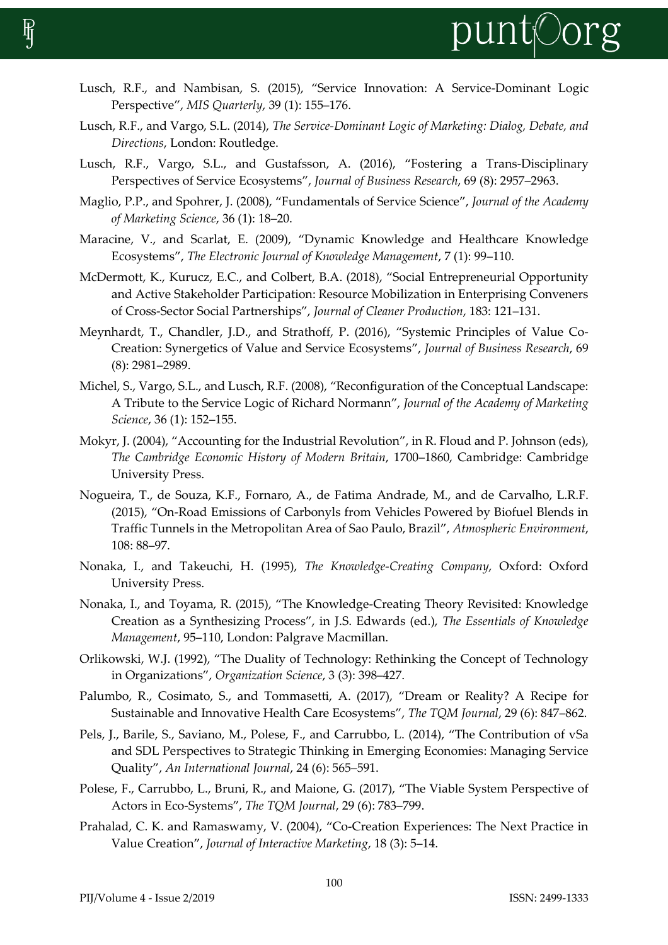

- Lusch, R.F., and Nambisan, S. (2015), "Service Innovation: A Service-Dominant Logic Perspective", *MIS Quarterly*, 39 (1): 155–176.
- Lusch, R.F., and Vargo, S.L. (2014), *The Service-Dominant Logic of Marketing: Dialog, Debate, and Directions*, London: Routledge.
- Lusch, R.F., Vargo, S.L., and Gustafsson, A. (2016), "Fostering a Trans-Disciplinary Perspectives of Service Ecosystems", *Journal of Business Research*, 69 (8): 2957–2963.
- Maglio, P.P., and Spohrer, J. (2008), "Fundamentals of Service Science", *Journal of the Academy of Marketing Science*, 36 (1): 18–20.
- Maracine, V., and Scarlat, E. (2009), "Dynamic Knowledge and Healthcare Knowledge Ecosystems", *The Electronic Journal of Knowledge Management*, 7 (1): 99–110.
- McDermott, K., Kurucz, E.C., and Colbert, B.A. (2018), "Social Entrepreneurial Opportunity and Active Stakeholder Participation: Resource Mobilization in Enterprising Conveners of Cross-Sector Social Partnerships", *Journal of Cleaner Production*, 183: 121–131.
- Meynhardt, T., Chandler, J.D., and Strathoff, P. (2016), "Systemic Principles of Value Co-Creation: Synergetics of Value and Service Ecosystems", *Journal of Business Research*, 69 (8): 2981–2989.
- Michel, S., Vargo, S.L., and Lusch, R.F. (2008), "Reconfiguration of the Conceptual Landscape: A Tribute to the Service Logic of Richard Normann", *Journal of the Academy of Marketing Science*, 36 (1): 152–155.
- Mokyr, J. (2004), "Accounting for the Industrial Revolution", in R. Floud and P. Johnson (eds), *The Cambridge Economic History of Modern Britain*, 1700–1860, Cambridge: Cambridge University Press.
- Nogueira, T., de Souza, K.F., Fornaro, A., de Fatima Andrade, M., and de Carvalho, L.R.F. (2015), "On-Road Emissions of Carbonyls from Vehicles Powered by Biofuel Blends in Traffic Tunnels in the Metropolitan Area of Sao Paulo, Brazil", *Atmospheric Environment*, 108: 88–97.
- Nonaka, I., and Takeuchi, H. (1995), *The Knowledge-Creating Company*, Oxford: Oxford University Press.
- Nonaka, I., and Toyama, R. (2015), "The Knowledge-Creating Theory Revisited: Knowledge Creation as a Synthesizing Process", in J.S. Edwards (ed.), *The Essentials of Knowledge Management*, 95–110, London: Palgrave Macmillan.
- Orlikowski, W.J. (1992), "The Duality of Technology: Rethinking the Concept of Technology in Organizations", *Organization Science*, 3 (3): 398–427.
- Palumbo, R., Cosimato, S., and Tommasetti, A. (2017), "Dream or Reality? A Recipe for Sustainable and Innovative Health Care Ecosystems", *The TQM Journal*, 29 (6): 847–862.
- Pels, J., Barile, S., Saviano, M., Polese, F., and Carrubbo, L. (2014), "The Contribution of vSa and SDL Perspectives to Strategic Thinking in Emerging Economies: Managing Service Quality", *An International Journal*, 24 (6): 565–591.
- Polese, F., Carrubbo, L., Bruni, R., and Maione, G. (2017), "The Viable System Perspective of Actors in Eco-Systems", *The TQM Journal*, 29 (6): 783–799.
- Prahalad, C. K. and Ramaswamy, V. (2004), "Co-Creation Experiences: The Next Practice in Value Creation", *Journal of Interactive Marketing*, 18 (3): 5–14.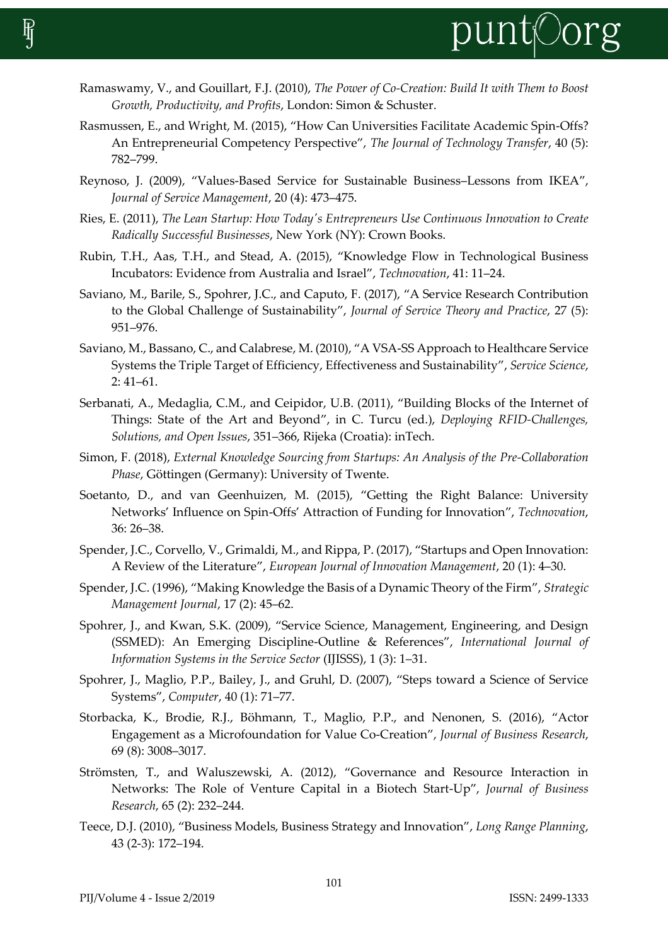

- Ramaswamy, V., and Gouillart, F.J. (2010), *The Power of Co-Creation: Build It with Them to Boost Growth, Productivity, and Profits*, London: Simon & Schuster.
- Rasmussen, E., and Wright, M. (2015), "How Can Universities Facilitate Academic Spin-Offs? An Entrepreneurial Competency Perspective", *The Journal of Technology Transfer*, 40 (5): 782–799.
- Reynoso, J. (2009), "Values‐Based Service for Sustainable Business–Lessons from IKEA", *Journal of Service Management*, 20 (4): 473–475.
- Ries, E. (2011), *The Lean Startup: How Today's Entrepreneurs Use Continuous Innovation to Create Radically Successful Businesses*, New York (NY): Crown Books.
- Rubin, T.H., Aas, T.H., and Stead, A. (2015), "Knowledge Flow in Technological Business Incubators: Evidence from Australia and Israel", *Technovation*, 41: 11–24.
- Saviano, M., Barile, S., Spohrer, J.C., and Caputo, F. (2017), "A Service Research Contribution to the Global Challenge of Sustainability", *Journal of Service Theory and Practice*, 27 (5): 951–976.
- Saviano, M., Bassano, C., and Calabrese, M. (2010), "A VSA-SS Approach to Healthcare Service Systems the Triple Target of Efficiency, Effectiveness and Sustainability", *Service Science*, 2: 41–61.
- Serbanati, A., Medaglia, C.M., and Ceipidor, U.B. (2011), "Building Blocks of the Internet of Things: State of the Art and Beyond", in C. Turcu (ed.), *Deploying RFID-Challenges, Solutions, and Open Issues*, 351–366, Rijeka (Croatia): inTech.
- Simon, F. (2018), *External Knowledge Sourcing from Startups: An Analysis of the Pre-Collaboration Phase*, Göttingen (Germany): University of Twente.
- Soetanto, D., and van Geenhuizen, M. (2015), "Getting the Right Balance: University Networks' Influence on Spin-Offs' Attraction of Funding for Innovation", *Technovation*, 36: 26–38.
- Spender, J.C., Corvello, V., Grimaldi, M., and Rippa, P. (2017), "Startups and Open Innovation: A Review of the Literature", *European Journal of Innovation Management*, 20 (1): 4–30.
- Spender, J.C. (1996), "Making Knowledge the Basis of a Dynamic Theory of the Firm", *Strategic Management Journal*, 17 (2): 45–62.
- Spohrer, J., and Kwan, S.K. (2009), "Service Science, Management, Engineering, and Design (SSMED): An Emerging Discipline-Outline & References", *International Journal of Information Systems in the Service Sector* (IJISSS), 1 (3): 1–31.
- Spohrer, J., Maglio, P.P., Bailey, J., and Gruhl, D. (2007), "Steps toward a Science of Service Systems", *Computer*, 40 (1): 71–77.
- Storbacka, K., Brodie, R.J., Böhmann, T., Maglio, P.P., and Nenonen, S. (2016), "Actor Engagement as a Microfoundation for Value Co-Creation", *Journal of Business Research*, 69 (8): 3008–3017.
- Strömsten, T., and Waluszewski, A. (2012), "Governance and Resource Interaction in Networks: The Role of Venture Capital in a Biotech Start-Up", *Journal of Business Research*, 65 (2): 232–244.
- Teece, D.J. (2010), "Business Models, Business Strategy and Innovation", *Long Range Planning*, 43 (2-3): 172–194.